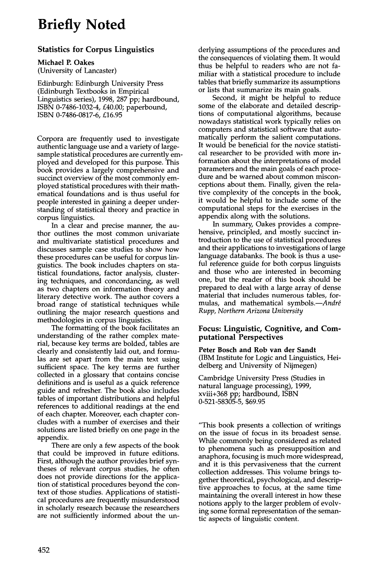# **Briefly Noted**

## **Statistics for Corpus Linguistics**

**Michael P. Oakes** 

(University of Lancaster)

Edinburgh: Edinburgh University Press (Edinburgh Textbooks in Empirical Linguistics series), 1998, 287 pp; hardbound, ISBN 0-7486-1032-4, £40.00; paperbound, ISBN 0-7486-0817-6, £16.95

Corpora are frequently used to investigate authentic language use and a variety of largesample statistical procedures are currently employed and developed for this purpose. This book provides a largely comprehensive and succinct overview of the most commonly employed statistical procedures with their mathematical foundations and is thus useful for people interested in gaining a deeper understanding of statistical theory and practice in corpus linguistics.

In a clear and precise manner, the author outlines the most common univariate and multivariate statistical procedures and discusses sample case studies to show how these procedures can be useful for corpus linguistics. The book includes chapters on statistical foundations, factor analysis, clustering techniques, and concordancing, as well as two chapters on information theory and literary detective work. The author covers a broad range of statistical techniques while outlining the major research questions and methodologies in corpus linguistics.

The formatting of the book facilitates an understanding of the rather complex material, because key terms are bolded, tables are clearly and consistently laid out, and formulas are set apart from the main text using sufficient space. The key terms are further collected in a glossary that contains concise definitions and is useful as a quick reference guide and refresher. The book also includes tables of important distributions and helpful references to additional readings at the end of each chapter. Moreover, each chapter concludes with a number of exercises and their solutions are listed briefly on one page in the appendix.

There are only a few aspects of the book that could be improved in future editions. First, although the author provides brief syntheses of relevant corpus studies, he often does not provide directions for the application of statistical procedures beyond the context of those studies. Applications of statistical procedures are frequently misunderstood in scholarly research because the researchers are not sufficiently informed about the underlying assumptions of the procedures and the consequences of violating them. It would thus be helpful to readers who are not familiar with a statistical procedure to include tables that briefly summarize its assumptions or lists that summarize its main goals.

Second, it might be helpful to reduce some of the elaborate and detailed descriptions of computational algorithms, because nowadays statistical work typically relies on computers and statistical software that automatically perform the salient computations. It would be beneficial for the novice statistical researcher to be provided with more information about the interpretations of model parameters and the main goals of each procedure and be warned about common misconceptions about them. Finally, given the relative complexity of the concepts in the book, it would be helpful to include some of the computational steps for the exercises in the appendix along with the solutions.

In summary, Oakes provides a comprehensive, principled, and mostly succinct introduction to the use of statistical procedures and their applications to investigations of large language databanks. The book is thus a useful reference guide for both corpus linguists and those who are interested in becoming one, but the reader of this book should be prepared to deal with a large array of dense material that includes numerous tables, formulas, and mathematical *symbols.—André Rupp, Northern Arizona University* 

### **Focus: Linguistic, Cognitive, and Computational Perspectives**

**Peter Bosch and Rob van der Sandt**  (IBM Institute for Logic and Linguistics, Heidelberg and University of Nijmegen)

Cambridge University Press (Studies in natural language processing), 1999, xviii+368 pp; hardbound, ISBN 0-521-58305-5, \$69.95

"This book presents a collection of writings on the issue of focus in its broadest sense. While commonly being considered as related to phenomena such as presupposition and anaphora, focusing is much more widespread, and it is this pervasiveness that the current collection addresses. This volume brings together theoretical, psychological, and descriptive approaches to focus, at the same time maintaining the overall interest in how these notions apply to the larger problem of evolving some formal representation of the semantic aspects of linguistic content.